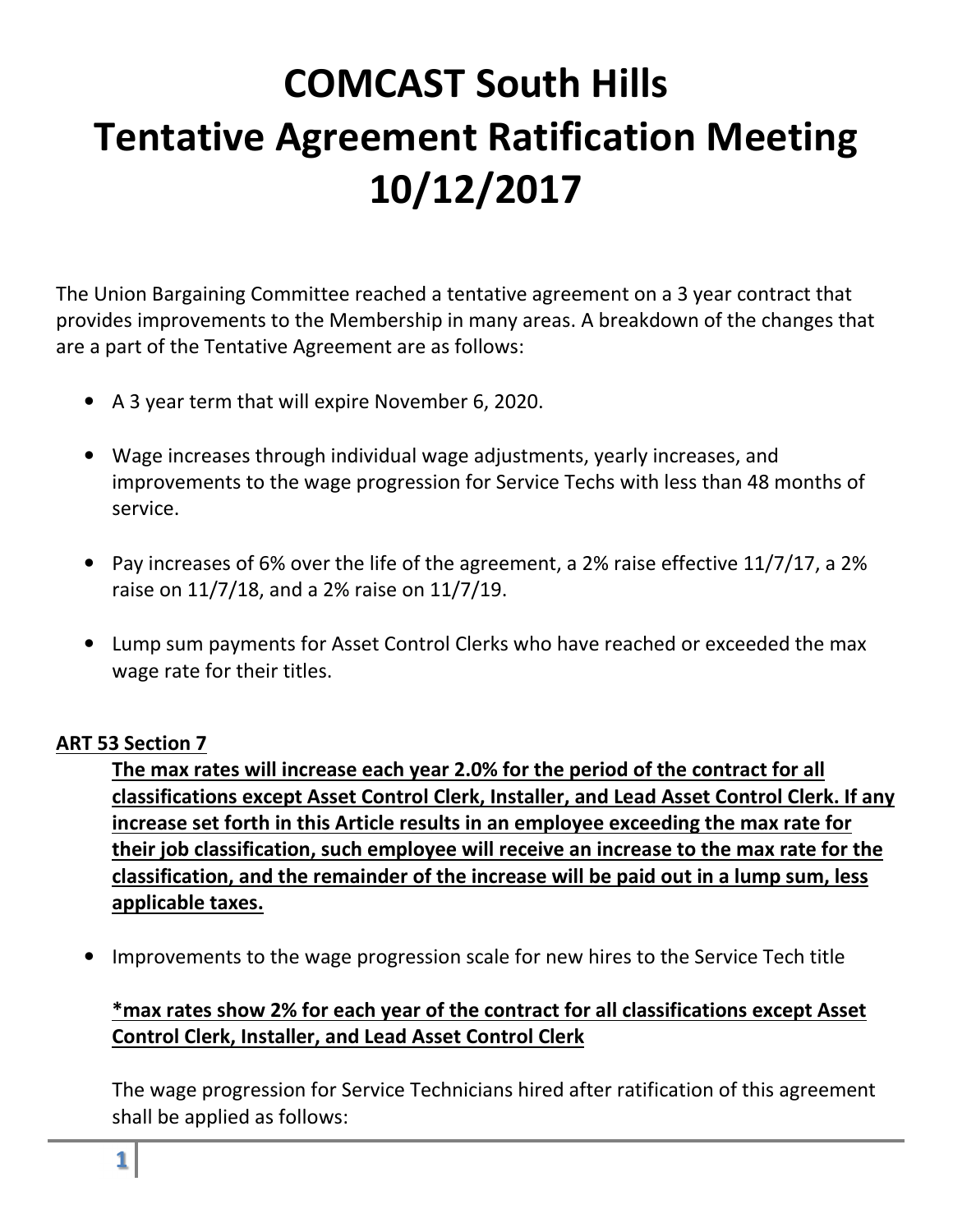# **COMCAST South Hills Tentative Agreement Ratification Meeting 10/12/2017**

The Union Bargaining Committee reached a tentative agreement on a 3 year contract that provides improvements to the Membership in many areas. A breakdown of the changes that are a part of the Tentative Agreement are as follows:

- A 3 year term that will expire November 6, 2020.
- Wage increases through individual wage adjustments, yearly increases, and improvements to the wage progression for Service Techs with less than 48 months of service.
- Pay increases of 6% over the life of the agreement, a 2% raise effective 11/7/17, a 2% raise on 11/7/18, and a 2% raise on 11/7/19.
- Lump sum payments for Asset Control Clerks who have reached or exceeded the max wage rate for their titles.

#### **ART 53 Section 7**

**The max rates will increase each year 2.0% for the period of the contract for all classifications except Asset Control Clerk, Installer, and Lead Asset Control Clerk. If any increase set forth in this Article results in an employee exceeding the max rate for their job classification, such employee will receive an increase to the max rate for the classification, and the remainder of the increase will be paid out in a lump sum, less applicable taxes.** 

• Improvements to the wage progression scale for new hires to the Service Tech title

#### **\*max rates show 2% for each year of the contract for all classifications except Asset Control Clerk, Installer, and Lead Asset Control Clerk**

The wage progression for Service Technicians hired after ratification of this agreement shall be applied as follows: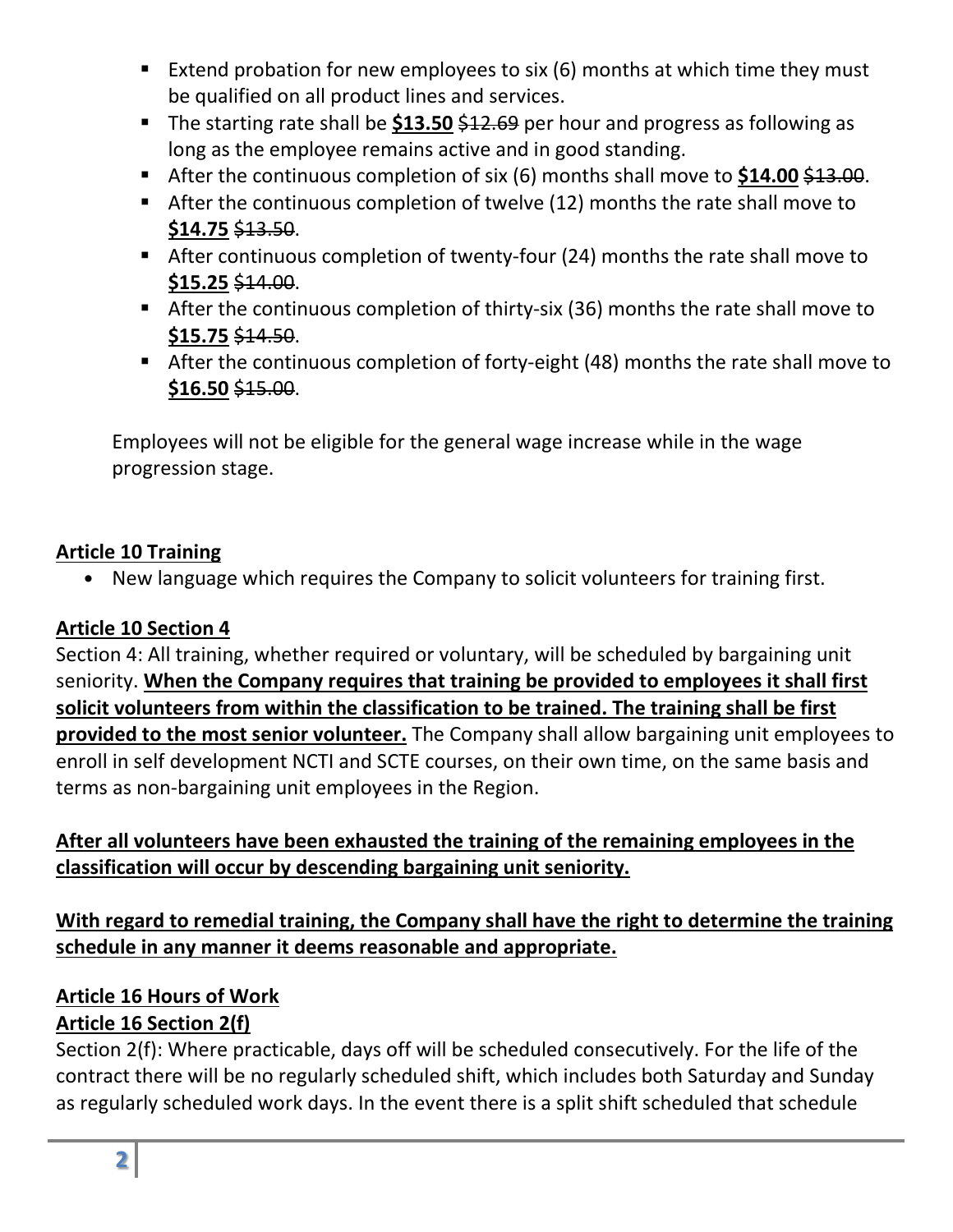- Extend probation for new employees to six  $(6)$  months at which time they must be qualified on all product lines and services.
- The starting rate shall be **\$13.50** \$12.69 per hour and progress as following as long as the employee remains active and in good standing.
- After the continuous completion of six (6) months shall move to \$14.00 \$13.00.
- After the continuous completion of twelve (12) months the rate shall move to **\$14.75** \$13.50.
- After continuous completion of twenty-four (24) months the rate shall move to **\$15.25** \$14.00.
- After the continuous completion of thirty-six (36) months the rate shall move to **\$15.75** \$14.50.
- After the continuous completion of forty-eight (48) months the rate shall move to **\$16.50** \$15.00.

Employees will not be eligible for the general wage increase while in the wage progression stage.

#### **Article 10 Training**

• New language which requires the Company to solicit volunteers for training first.

# **Article 10 Section 4**

Section 4: All training, whether required or voluntary, will be scheduled by bargaining unit seniority. **When the Company requires that training be provided to employees it shall first solicit volunteers from within the classification to be trained. The training shall be first provided to the most senior volunteer.** The Company shall allow bargaining unit employees to enroll in self development NCTI and SCTE courses, on their own time, on the same basis and terms as non-bargaining unit employees in the Region.

# **After all volunteers have been exhausted the training of the remaining employees in the classification will occur by descending bargaining unit seniority.**

# **With regard to remedial training, the Company shall have the right to determine the training schedule in any manner it deems reasonable and appropriate.**

# **Article 16 Hours of Work**

# **Article 16 Section 2(f)**

Section 2(f): Where practicable, days off will be scheduled consecutively. For the life of the contract there will be no regularly scheduled shift, which includes both Saturday and Sunday as regularly scheduled work days. In the event there is a split shift scheduled that schedule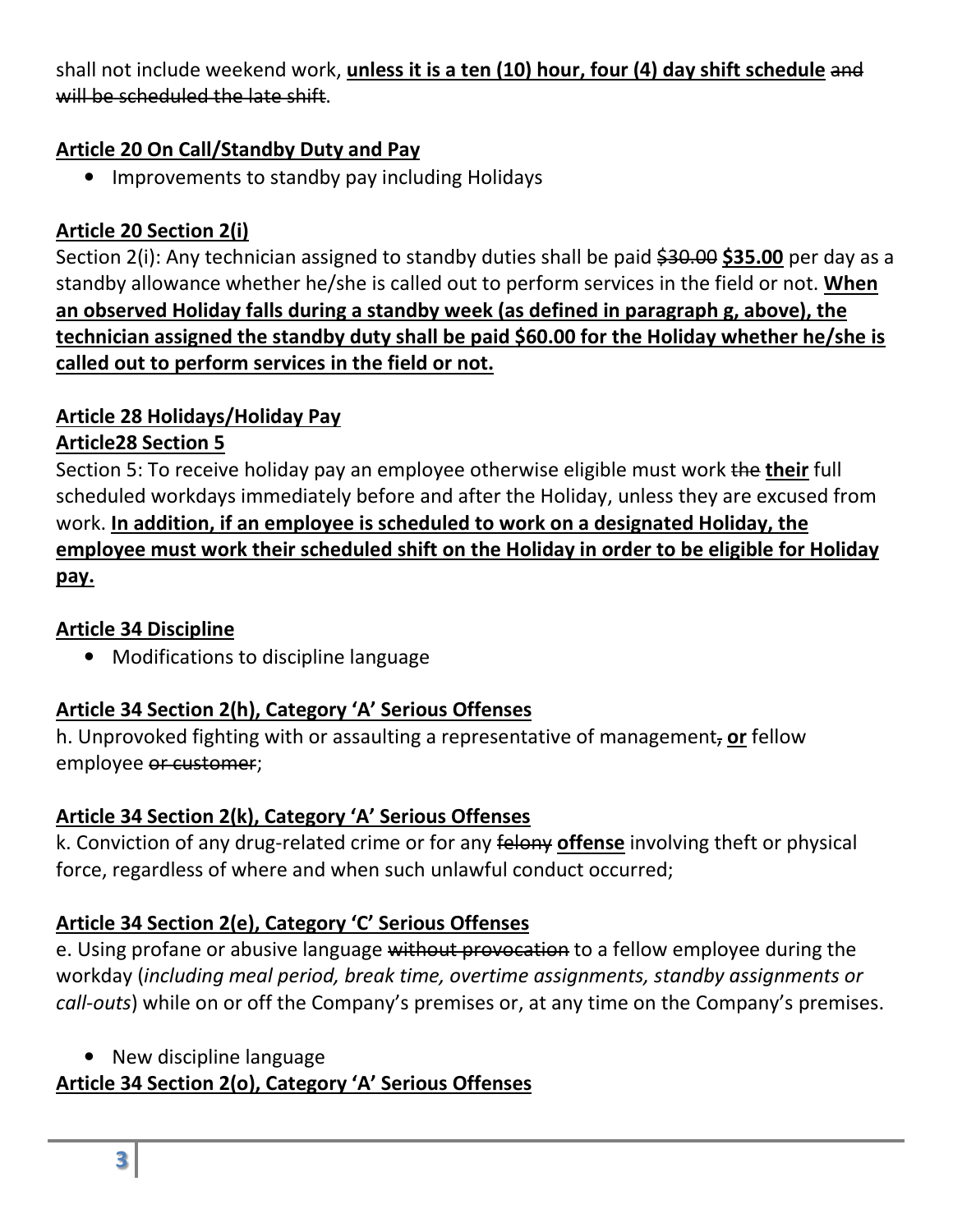shall not include weekend work, **unless it is a ten (10) hour, four (4) day shift schedule** and will be scheduled the late shift.

#### **Article 20 On Call/Standby Duty and Pay**

• Improvements to standby pay including Holidays

# **Article 20 Section 2(i)**

Section 2(i): Any technician assigned to standby duties shall be paid \$30.00 \$35.00 per day as a standby allowance whether he/she is called out to perform services in the field or not. **When an observed Holiday falls during a standby week (as defined in paragraph g, above), the technician assigned the standby duty shall be paid \$60.00 for the Holiday whether he/she is called out to perform services in the field or not.**

# **Article 28 Holidays/Holiday Pay**

#### **Article28 Section 5**

Section 5: To receive holiday pay an employee otherwise eligible must work the **their** full scheduled workdays immediately before and after the Holiday, unless they are excused from work. **In addition, if an employee is scheduled to work on a designated Holiday, the employee must work their scheduled shift on the Holiday in order to be eligible for Holiday pay.** 

# **Article 34 Discipline**

• Modifications to discipline language

#### **Article 34 Section 2(h), Category 'A' Serious Offenses**

h. Unprovoked fighting with or assaulting a representative of management, **or** fellow employee or customer;

#### **Article 34 Section 2(k), Category 'A' Serious Offenses**

k. Conviction of any drug-related crime or for any felony **offense** involving theft or physical force, regardless of where and when such unlawful conduct occurred;

# **Article 34 Section 2(e), Category 'C' Serious Offenses**

e. Using profane or abusive language without provocation to a fellow employee during the workday (*including meal period, break time, overtime assignments, standby assignments or call-outs*) while on or off the Company's premises or, at any time on the Company's premises.

• New discipline language

# **Article 34 Section 2(o), Category 'A' Serious Offenses**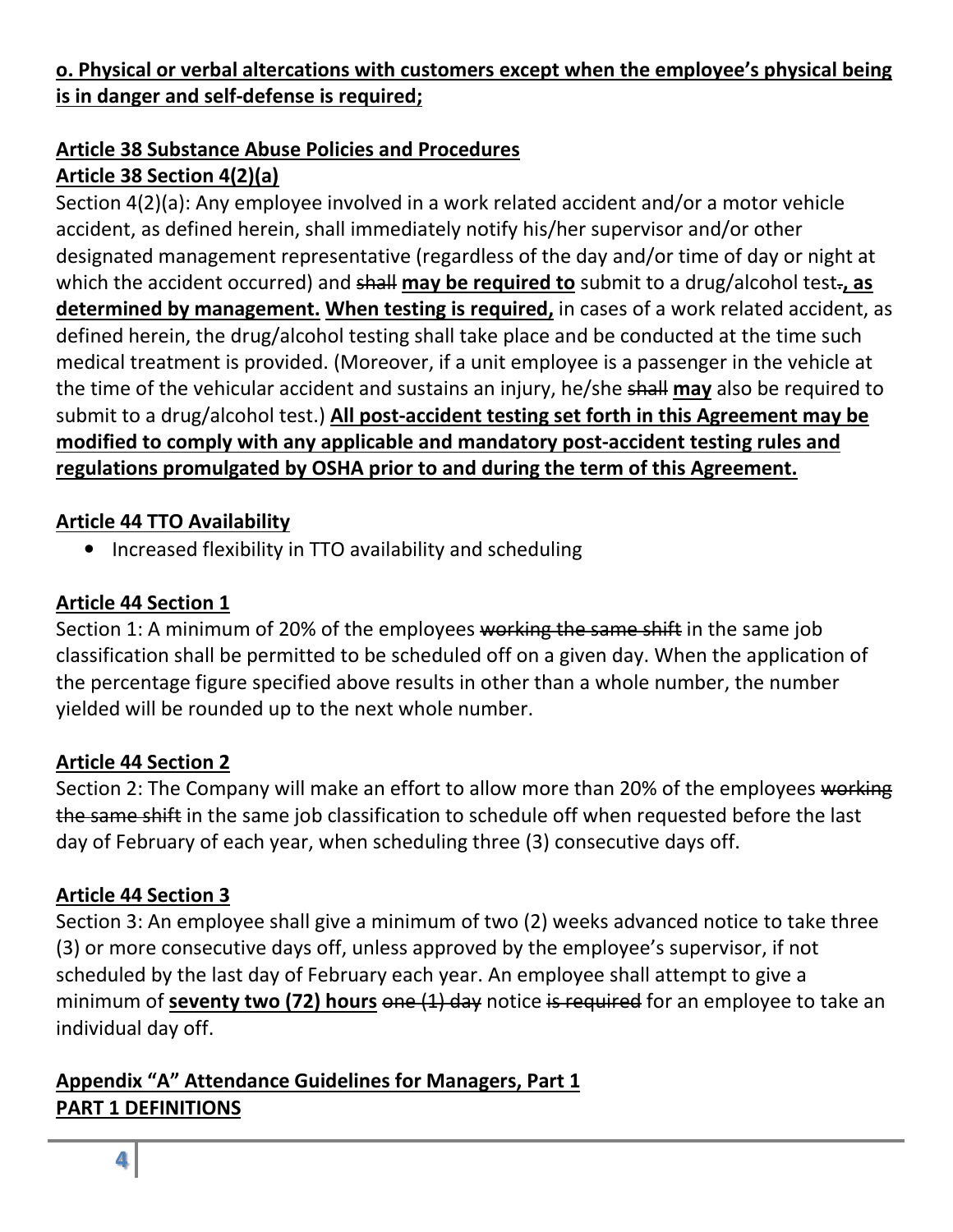# **o. Physical or verbal altercations with customers except when the employee's physical being is in danger and self-defense is required;**

# **Article 38 Substance Abuse Policies and Procedures**

# **Article 38 Section 4(2)(a)**

Section 4(2)(a): Any employee involved in a work related accident and/or a motor vehicle accident, as defined herein, shall immediately notify his/her supervisor and/or other designated management representative (regardless of the day and/or time of day or night at which the accident occurred) and shall may be required to submit to a drug/alcohol test-, as **determined by management. When testing is required,** in cases of a work related accident, as defined herein, the drug/alcohol testing shall take place and be conducted at the time such medical treatment is provided. (Moreover, if a unit employee is a passenger in the vehicle at the time of the vehicular accident and sustains an injury, he/she shall **may** also be required to submit to a drug/alcohol test.) **All post-accident testing set forth in this Agreement may be modified to comply with any applicable and mandatory post-accident testing rules and regulations promulgated by OSHA prior to and during the term of this Agreement.**

#### **Article 44 TTO Availability**

• Increased flexibility in TTO availability and scheduling

#### **Article 44 Section 1**

Section 1: A minimum of 20% of the employees working the same shift in the same job classification shall be permitted to be scheduled off on a given day. When the application of the percentage figure specified above results in other than a whole number, the number yielded will be rounded up to the next whole number.

#### **Article 44 Section 2**

Section 2: The Company will make an effort to allow more than 20% of the employees working the same shift in the same job classification to schedule off when requested before the last day of February of each year, when scheduling three (3) consecutive days off.

# **Article 44 Section 3**

Section 3: An employee shall give a minimum of two (2) weeks advanced notice to take three (3) or more consecutive days off, unless approved by the employee's supervisor, if not scheduled by the last day of February each year. An employee shall attempt to give a minimum of **seventy two (72) hours** one (1) day notice is required for an employee to take an individual day off.

#### **Appendix "A" Attendance Guidelines for Managers, Part 1 PART 1 DEFINITIONS**